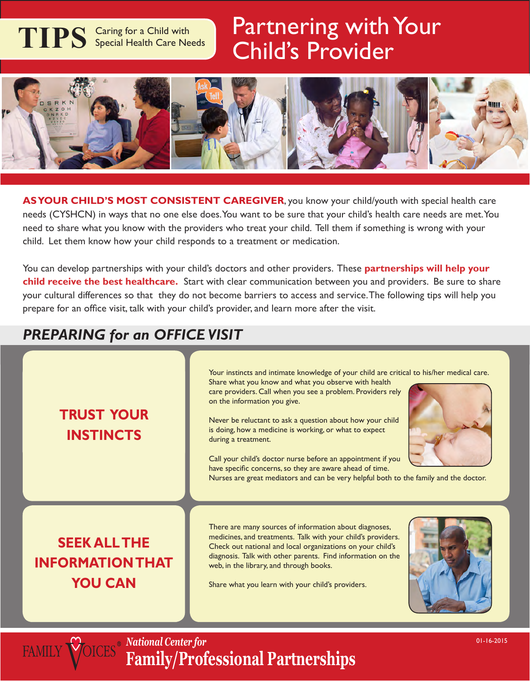# **TIPS** Caring for a Child with Special Health Care Needs

# Partnering with Your Child's Provider



**AS YOUR CHILD'S MOST CONSISTENT CAREGIVER**, you know your child/youth with special health care needs (CYSHCN) in ways that no one else does. You want to be sure that your child's health care needs are met. You need to share what you know with the providers who treat your child. Tell them if something is wrong with your child. Let them know how your child responds to a treatment or medication.

You can develop partnerships with your child's doctors and other providers. These **partnerships will help your child receive the best healthcare.** Start with clear communication between you and providers. Be sure to share your cultural differences so that they do not become barriers to access and service. The following tips will help you prepare for an office visit, talk with your child's provider, and learn more after the visit.

#### *PREPARING for an OFFICE VISIT*

**FAMILY VOIC** 

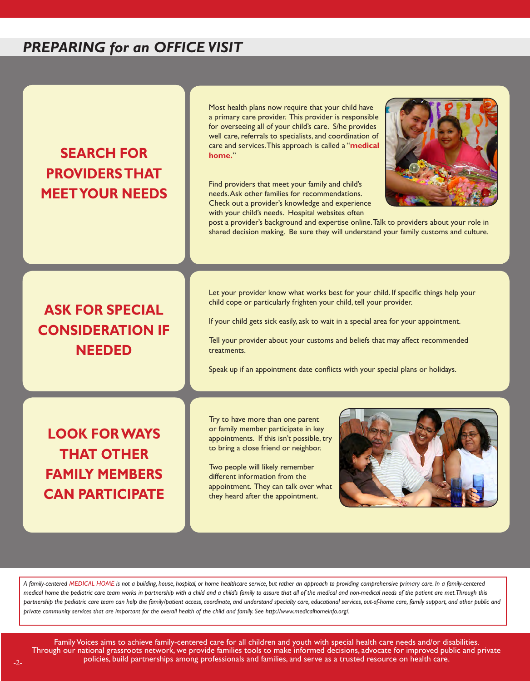#### *PREPARING for an OFFICE VISIT*

### **Search for providers that meet your needs**

Most health plans now require that your child have a primary care provider. This provider is responsible for overseeing all of your child's care. S/he provides well care, referrals to specialists, and coordination of care and services. This approach is called a "**medical home.**"

Find providers that meet your family and child's needs. Ask other families for recommendations. Check out a provider's knowledge and experience with your child's needs. Hospital websites often



post a provider's background and expertise online. Talk to providers about your role in shared decision making. Be sure they will understand your family customs and culture.

#### **Ask for special consideration if needed**

Let your provider know what works best for your child. If specific things help your child cope or particularly frighten your child, tell your provider.

If your child gets sick easily, ask to wait in a special area for your appointment.

Tell your provider about your customs and beliefs that may affect recommended treatments.

Speak up if an appointment date conflicts with your special plans or holidays.

**Look for ways THAT OTHER family members can participate** Try to have more than one parent or family member participate in key appointments. If this isn't possible, try to bring a close friend or neighbor.

Two people will likely remember different information from the appointment. They can talk over what they heard after the appointment.



*A family-centered MEDICAL HOME is not a building, house, hospital, or home healthcare service, but rather an approach to providing comprehensive primary care. In a family-centered medical home the pediatric care team works in partnership with a child and a child's family to assure that all of the medical and non-medical needs of the patient are met. Through this*  partnership the pediatric care team can help the family/patient access, coordinate, and understand specialty care, educational services, out-of-home care, family support, and other public and *private community services that are important for the overall health of the child and family. See http://www.medicalhomeinfo.org/.*

Family Voices aims to achieve family-centered care for all children and youth with special health care needs and/or disabilities. Through our national grassroots network, we provide families tools to make informed decisions, advocate for improved public and private policies, build partnerships among professionals and families, and serve as a trusted resource on health care.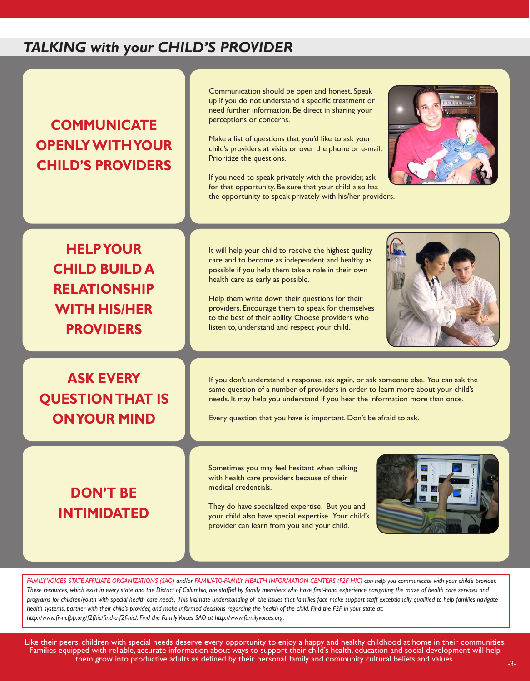#### **TALKING with your CHILD'S PROVIDER**

### **Communicate openly with your child's providers**

Communication should be open and honest. Speak up if you do not understand a specific treatment or need further information. Be direct in sharing your perceptions or concerns.

Make a list of questions that you'd like to ask your child's providers at visits or over the phone or e-mail. Prioritize the questions.

If you need to speak privately with the provider, ask for that opportunity. Be sure that your child also has the opportunity to speak privately with his/her providers.



**Help your child build a relationship with his/her providers**

**Ask every QUESTION THAT IS on Your Mind**

## **Don't be intimidated**

It will help your child to receive the highest quality care and to become as independent and healthy as possible if you help them take a role in their own health care as early as possible.

Help them write down their questions for their providers. Encourage them to speak for themselves to the best of their ability. Choose providers who listen to, understand and respect your child.



If you don't understand a response, ask again, or ask someone else. You can ask the same question of a number of providers in order to learn more about your child's needs. It may help you understand if you hear the information more than once.

Every question that you have is important. Don't be afraid to ask.

Sometimes you may feel hesitant when talking with health care providers because of their medical credentials.

They do have specialized expertise. But you and your child also have special expertise. Your child's provider can learn from you and your child.



*Family Voices State Affiliate Organizations (SAO) and/or Family-to-Family Health Information Centers (F2F HIC) can help you communicate with your child's provider. These resources, which exist in every state and the District of Columbia, are staffed by family members who have first-hand experience navigating the maze of health care services and*  programs for children/youth with special health care needs. This intimate understanding of the issues that families face make support staff exceptionally qualified to help families navigate *health systems, partner with their child's provider, and make informed decisions regarding the health of the child. Find the F2F in your state at: http://www.fv-ncfpp.org/f2fhic/find-a-f2f-hic/. Find the Family Voices SAO at http://www.familyvoices.org.*

Like their peers, children with special needs deserve every opportunity to enjoy a happy and healthy childhood at home in their communities. Families equipped with reliable, accurate information about ways to support their child's health, education and social development will help them grow into productive adults as defined by their personal, family and community cultural beliefs and values.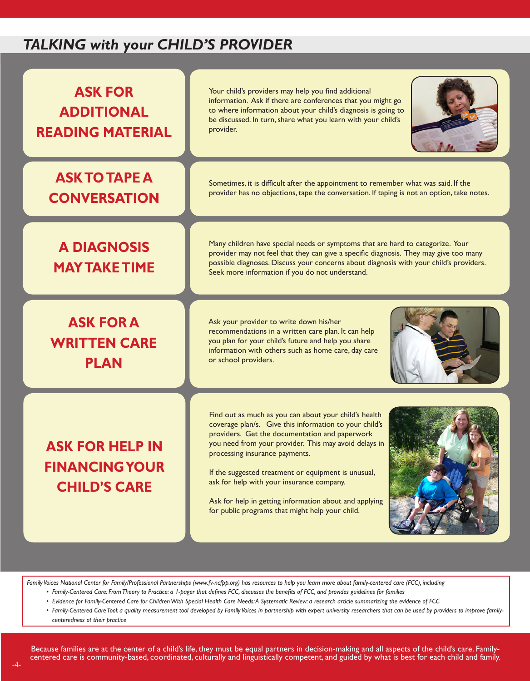#### *Talking with your Child's Provider*

| <b>ASK FOR</b><br><b>ADDITIONAL</b><br><b>READING MATERIAL</b>         | Your child's providers may help you find additional<br>information. Ask if there are conferences that you might go<br>to where information about your child's diagnosis is going to<br>be discussed. In turn, share what you learn with your child's<br>provider.                                                                                                                                                                                                             |
|------------------------------------------------------------------------|-------------------------------------------------------------------------------------------------------------------------------------------------------------------------------------------------------------------------------------------------------------------------------------------------------------------------------------------------------------------------------------------------------------------------------------------------------------------------------|
| <b>ASK TO TAPE A</b><br><b>CONVERSATION</b>                            | Sometimes, it is difficult after the appointment to remember what was said. If the<br>provider has no objections, tape the conversation. If taping is not an option, take notes.                                                                                                                                                                                                                                                                                              |
| <b>A DIAGNOSIS</b><br><b>MAY TAKE TIME</b>                             | Many children have special needs or symptoms that are hard to categorize. Your<br>provider may not feel that they can give a specific diagnosis. They may give too many<br>possible diagnoses. Discuss your concerns about diagnosis with your child's providers.<br>Seek more information if you do not understand.                                                                                                                                                          |
| <b>ASK FOR A</b><br><b>WRITTEN CARE</b><br><b>PLAN</b>                 | Ask your provider to write down his/her<br>recommendations in a written care plan. It can help<br>you plan for your child's future and help you share<br>information with others such as home care, day care<br>or school providers.                                                                                                                                                                                                                                          |
| <b>ASK FOR HELP IN</b><br><b>FINANCING YOUR</b><br><b>CHILD'S CARE</b> | Find out as much as you can about your child's health<br>coverage plan/s. Give this information to your child's<br>providers. Get the documentation and paperwork<br>you need from your provider. This may avoid delays in<br>processing insurance payments.<br>If the suggested treatment or equipment is unusual,<br>ask for help with your insurance company.<br>Ask for help in getting information about and applying<br>for public programs that might help your child. |

*Family Voices National Center for Family/Professional Partnerships (www.fv-ncfpp.org) has resources to help you learn more about family-centered care (FCC), including* 

- *• Family-Centered Care: From Theory to Practice: a 1-pager that defines FCC, discusses the benefits of FCC, and provides guidelines for families*
- *• Evidence for Family-Centered Care for Children With Special Health Care Needs: A Systematic Review: a research article summarizing the evidence of FCC*

*• Family-Centered Care Tool: a quality measurement tool developed by Family Voices in partnership with expert university researchers that can be used by providers to improve familycenteredness ot their practice*

Because families are at the center of a child's life, they must be equal partners in decision-making and all aspects of the child's care. Familycentered care is community-based, coordinated, culturally and linguistically competent, and guided by what is best for each child and family.<br>-4-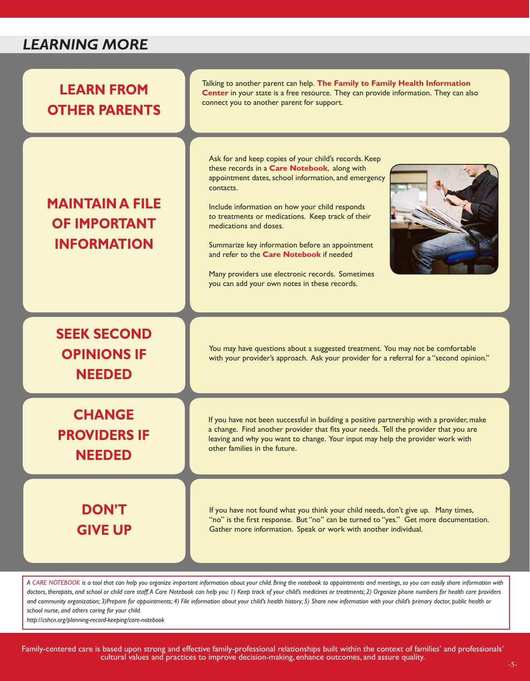#### LEARNING MORE



*A Care Notebook is a tool that can help you organize important information about your child. Bring the notebook to appointments and meetings, so you can easily share information with*  doctors, therapists, and school or child care staff. A Care Notebook can help you: 1) Keep track of your child's medicines or treatments; 2) Organize phone numbers for health care providers *and community organization; 3)Prepare for appointments; 4) File information about your child's health history; 5) Share new information with your child's primary doctor, public health or school nurse, and others caring for your child.*

*http://cshcn.org/planning-record-keeping/care-notebook*

Family-centered care is based upon strong and effective family-professional relationships built within the context of families' and professionals' cultural values and practices to improve decision-making, enhance outcomes, and assure quality.